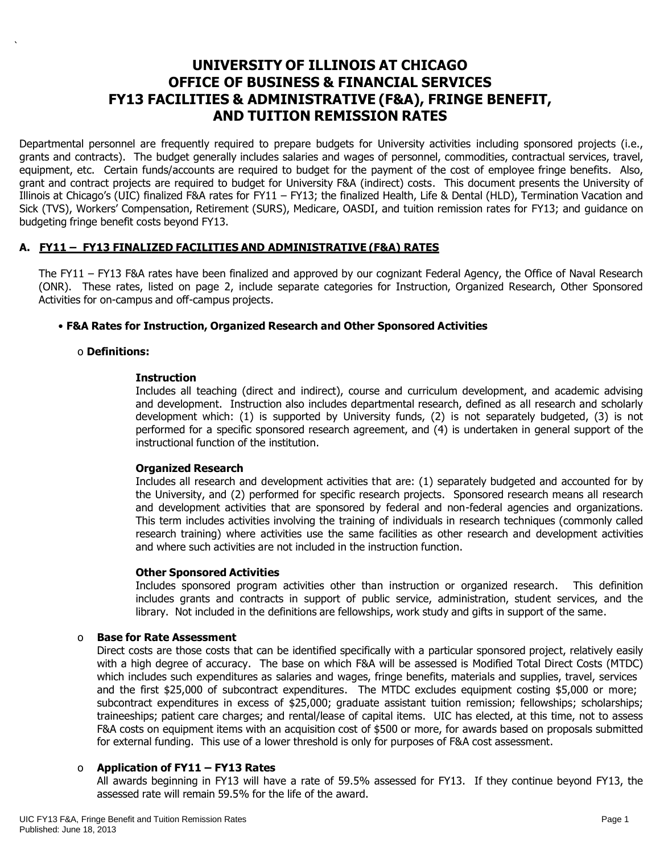# **UNIVERSITY OF ILLINOIS AT CHICAGO OFFICE OF BUSINESS & FINANCIAL SERVICES FY13 FACILITIES & ADMINISTRATIVE (F&A), FRINGE BENEFIT, AND TUITION REMISSION RATES**

Departmental personnel are frequently required to prepare budgets for University activities including sponsored projects (i.e., grants and contracts). The budget generally includes salaries and wages of personnel, commodities, contractual services, travel, equipment, etc. Certain funds/accounts are required to budget for the payment of the cost of employee fringe benefits. Also, grant and contract projects are required to budget for University F&A (indirect) costs. This document presents the University of Illinois at Chicago's (UIC) finalized F&A rates for FY11 – FY13; the finalized Health, Life & Dental (HLD), Termination Vacation and Sick (TVS), Workers' Compensation, Retirement (SURS), Medicare, OASDI, and tuition remission rates for FY13; and guidance on budgeting fringe benefit costs beyond FY13.

# **A. FY11 – FY13 FINALIZED FACILITIES AND ADMINISTRATIVE (F&A) RATES**

The FY11 – FY13 F&A rates have been finalized and approved by our cognizant Federal Agency, the Office of Naval Research (ONR). These rates, listed on page 2, include separate categories for Instruction, Organized Research, Other Sponsored Activities for on-campus and off-campus projects.

# • **F&A Rates for Instruction, Organized Research and Other Sponsored Activities**

# o **Definitions:**

`

#### **Instruction**

Includes all teaching (direct and indirect), course and curriculum development, and academic advising and development. Instruction also includes departmental research, defined as all research and scholarly development which: (1) is supported by University funds, (2) is not separately budgeted, (3) is not performed for a specific sponsored research agreement, and (4) is undertaken in general support of the instructional function of the institution.

# **Organized Research**

Includes all research and development activities that are: (1) separately budgeted and accounted for by the University, and (2) performed for specific research projects. Sponsored research means all research and development activities that are sponsored by federal and non-federal agencies and organizations. This term includes activities involving the training of individuals in research techniques (commonly called research training) where activities use the same facilities as other research and development activities and where such activities are not included in the instruction function.

#### **Other Sponsored Activities**

Includes sponsored program activities other than instruction or organized research. This definition includes grants and contracts in support of public service, administration, student services, and the library. Not included in the definitions are fellowships, work study and gifts in support of the same.

#### o **Base for Rate Assessment**

Direct costs are those costs that can be identified specifically with a particular sponsored project, relatively easily with a high degree of accuracy. The base on which F&A will be assessed is Modified Total Direct Costs (MTDC) which includes such expenditures as salaries and wages, fringe benefits, materials and supplies, travel, services and the first \$25,000 of subcontract expenditures. The MTDC excludes equipment costing \$5,000 or more; subcontract expenditures in excess of \$25,000; graduate assistant tuition remission; fellowships; scholarships; traineeships; patient care charges; and rental/lease of capital items. UIC has elected, at this time, not to assess F&A costs on equipment items with an acquisition cost of \$500 or more, for awards based on proposals submitted for external funding. This use of a lower threshold is only for purposes of F&A cost assessment.

# o **Application of FY11 – FY13 Rates**

All awards beginning in FY13 will have a rate of 59.5% assessed for FY13. If they continue beyond FY13, the assessed rate will remain 59.5% for the life of the award.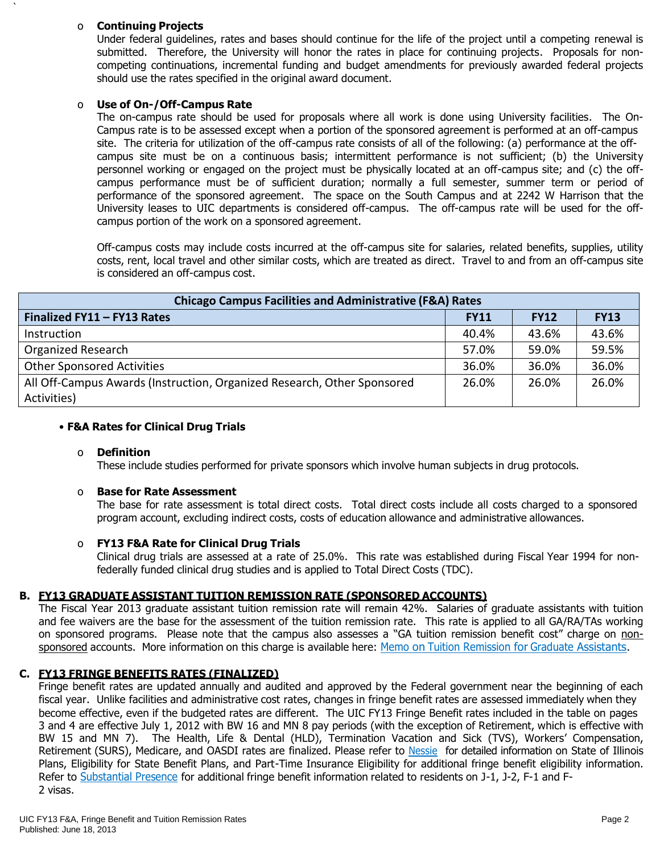# o **Continuing Projects**

`

Under federal guidelines, rates and bases should continue for the life of the project until a competing renewal is submitted. Therefore, the University will honor the rates in place for continuing projects. Proposals for noncompeting continuations, incremental funding and budget amendments for previously awarded federal projects should use the rates specified in the original award document.

# o **Use of On-/Off-Campus Rate**

The on-campus rate should be used for proposals where all work is done using University facilities. The On-Campus rate is to be assessed except when a portion of the sponsored agreement is performed at an off-campus site. The criteria for utilization of the off-campus rate consists of all of the following: (a) performance at the offcampus site must be on a continuous basis; intermittent performance is not sufficient; (b) the University personnel working or engaged on the project must be physically located at an off-campus site; and (c) the offcampus performance must be of sufficient duration; normally a full semester, summer term or period of performance of the sponsored agreement. The space on the South Campus and at 2242 W Harrison that the University leases to UIC departments is considered off-campus. The off-campus rate will be used for the offcampus portion of the work on a sponsored agreement.

Off-campus costs may include costs incurred at the off-campus site for salaries, related benefits, supplies, utility costs, rent, local travel and other similar costs, which are treated as direct. Travel to and from an off-campus site is considered an off-campus cost.

| <b>Chicago Campus Facilities and Administrative (F&amp;A) Rates</b>     |             |             |             |  |  |  |  |
|-------------------------------------------------------------------------|-------------|-------------|-------------|--|--|--|--|
| Finalized FY11 - FY13 Rates                                             | <b>FY11</b> | <b>FY12</b> | <b>FY13</b> |  |  |  |  |
| Instruction                                                             | 40.4%       | 43.6%       | 43.6%       |  |  |  |  |
| Organized Research                                                      | 57.0%       | 59.0%       | 59.5%       |  |  |  |  |
| <b>Other Sponsored Activities</b>                                       | 36.0%       | 36.0%       | 36.0%       |  |  |  |  |
| All Off-Campus Awards (Instruction, Organized Research, Other Sponsored | 26.0%       | 26.0%       | 26.0%       |  |  |  |  |
| Activities)                                                             |             |             |             |  |  |  |  |

# • **F&A Rates for Clinical Drug Trials**

# o **Definition**

These include studies performed for private sponsors which involve human subjects in drug protocols.

# o **Base for Rate Assessment**

The base for rate assessment is total direct costs. Total direct costs include all costs charged to a sponsored program account, excluding indirect costs, costs of education allowance and administrative allowances.

# o **FY13 F&A Rate for Clinical Drug Trials**

Clinical drug trials are assessed at a rate of 25.0%. This rate was established during Fiscal Year 1994 for nonfederally funded clinical drug studies and is applied to Total Direct Costs (TDC).

# **B. FY13 GRADUATE ASSISTANT TUITION REMISSION RATE (SPONSORED ACCOUNTS)**

The Fiscal Year 2013 graduate assistant tuition remission rate will remain 42%. Salaries of graduate assistants with tuition and fee waivers are the base for the assessment of the tuition remission rate. This rate is applied to all GA/RA/TAs working on sponsored programs. Please note that the campus also assesses a "GA tuition remission benefit cost" charge on non-sponsored accounts. More information on this charge is available here: Memo on Tuition Remission for Graduate [Assistants](https://www.obfs.uillinois.edu/common/pages/DisplayFile.aspx?itemId=436386).

# **C. FY13 FRINGE BENEFITS RATES (FINALIZED)**

Fringe benefit rates are updated annually and audited and approved by the Federal government near the beginning of each fiscal year. Unlike facilities and administrative cost rates, changes in fringe benefit rates are assessed immediately when they become effective, even if the budgeted rates are different. The UIC FY13 Fringe Benefit rates included in the table on pages 3 and 4 are effective July 1, 2012 with BW 16 and MN 8 pay periods (with the exception of Retirement, which is effective with BW 15 and MN 7). The Health, Life & Dental (HLD), Termination Vacation and Sick (TVS), Workers' Compensation, Retirement (SURS), Medicare, and OASDI rates are finalized. Please refer to [Nessie](http://nessie.uihr.uillinois.edu/cf/benefits/) for detailed information on State of Illinois Plans, Eligibility for State Benefit Plans, and Part-Time Insurance Eligibility for additional fringe benefit eligibility information. Refer to [Substantial](http://www.uic.edu/com/gme/rpm_comp___benefits.htm#real_substantial_pres) Presence for additional fringe benefit information related to residents on J-1, J-2, F-1 and F-2 visas.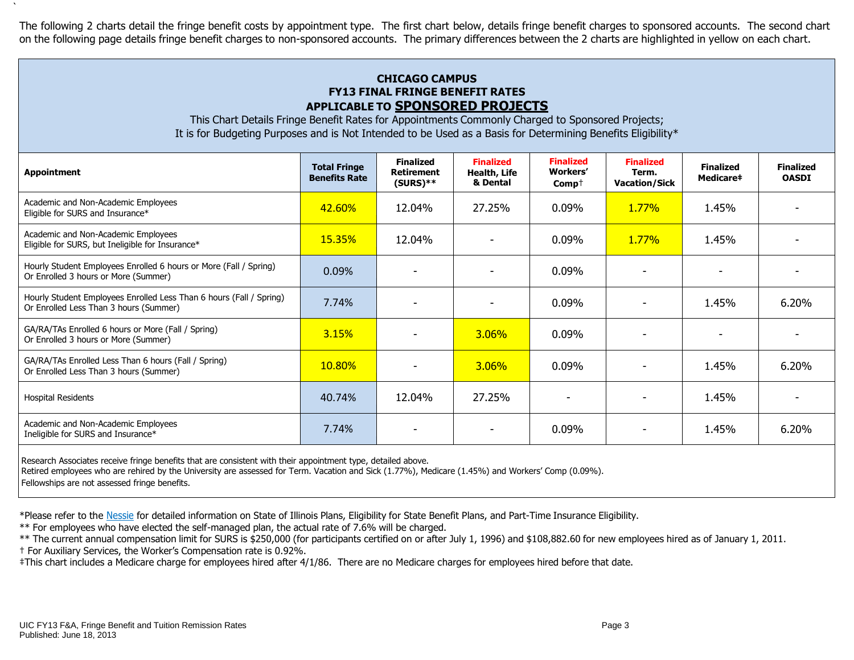The following 2 charts detail the fringe benefit costs by appointment type. The first chart below, details fringe benefit charges to sponsored accounts. The second chart on the following page details fringe benefit charges to non-sponsored accounts. The primary differences between the 2 charts are highlighted in yellow on each chart.

# **CHICAGO CAMPUS FY13 FINAL FRINGE BENEFIT RATES APPLICABLE TO SPONSORED PROJECTS**

This Chart Details Fringe Benefit Rates for Appointments Commonly Charged to Sponsored Projects; It is for Budgeting Purposes and is Not Intended to be Used as a Basis for Determining Benefits Eligibility\*

| <b>Appointment</b>                                                                                            | <b>Total Fringe</b><br><b>Benefits Rate</b> | <b>Finalized</b><br><b>Retirement</b><br>$(SURS)**$ | <b>Finalized</b><br>Health, Life<br>& Dental | <b>Finalized</b><br>Workers'<br>$Comp^+$ | <b>Finalized</b><br>Term.<br><b>Vacation/Sick</b> | <b>Finalized</b><br>Medicare# | <b>Finalized</b><br><b>OASDI</b> |
|---------------------------------------------------------------------------------------------------------------|---------------------------------------------|-----------------------------------------------------|----------------------------------------------|------------------------------------------|---------------------------------------------------|-------------------------------|----------------------------------|
| Academic and Non-Academic Employees<br>Eligible for SURS and Insurance*                                       | 42.60%                                      | 12.04%                                              | 27.25%                                       | 0.09%                                    | $1.77\%$                                          | 1.45%                         |                                  |
| Academic and Non-Academic Employees<br>Eligible for SURS, but Ineligible for Insurance*                       | <b>15.35%</b>                               | 12.04%                                              |                                              | 0.09%                                    | $1.77\%$                                          | 1.45%                         |                                  |
| Hourly Student Employees Enrolled 6 hours or More (Fall / Spring)<br>Or Enrolled 3 hours or More (Summer)     | 0.09%                                       |                                                     |                                              | 0.09%                                    |                                                   |                               |                                  |
| Hourly Student Employees Enrolled Less Than 6 hours (Fall / Spring)<br>Or Enrolled Less Than 3 hours (Summer) | 7.74%                                       |                                                     |                                              | 0.09%                                    |                                                   | 1.45%                         | 6.20%                            |
| GA/RA/TAs Enrolled 6 hours or More (Fall / Spring)<br>Or Enrolled 3 hours or More (Summer)                    | 3.15%                                       |                                                     | 3.06%                                        | 0.09%                                    |                                                   |                               |                                  |
| GA/RA/TAs Enrolled Less Than 6 hours (Fall / Spring)<br>Or Enrolled Less Than 3 hours (Summer)                | 10.80%                                      |                                                     | <b>3.06%</b>                                 | 0.09%                                    |                                                   | 1.45%                         | 6.20%                            |
| <b>Hospital Residents</b>                                                                                     | 40.74%                                      | 12.04%                                              | 27.25%                                       |                                          |                                                   | 1.45%                         |                                  |
| Academic and Non-Academic Employees<br>Ineligible for SURS and Insurance*                                     | 7.74%                                       |                                                     |                                              | $0.09\%$                                 |                                                   | 1.45%                         | 6.20%                            |
|                                                                                                               |                                             |                                                     |                                              |                                          |                                                   |                               |                                  |

Research Associates receive fringe benefits that are consistent with their appointment type, detailed above.

Retired employees who are rehired by the University are assessed for Term. Vacation and Sick (1.77%), Medicare (1.45%) and Workers' Comp (0.09%).

Fellowships are not assessed fringe benefits.

`

\*Please refer to the [Nessie](http://nessie.uihr.uillinois.edu/cf/benefits/) for detailed information on State of Illinois Plans, Eligibility for State Benefit Plans, and Part-Time Insurance Eligibility.

\*\* For employees who have elected the self-managed plan, the actual rate of 7.6% will be charged.

\*\* The current annual compensation limit for SURS is \$250,000 (for participants certified on or after July 1, 1996) and \$108,882.60 for new employees hired as of January 1, 2011.

† For Auxiliary Services, the Worker's Compensation rate is 0.92%.

‡This chart includes a Medicare charge for employees hired after 4/1/86. There are no Medicare charges for employees hired before that date.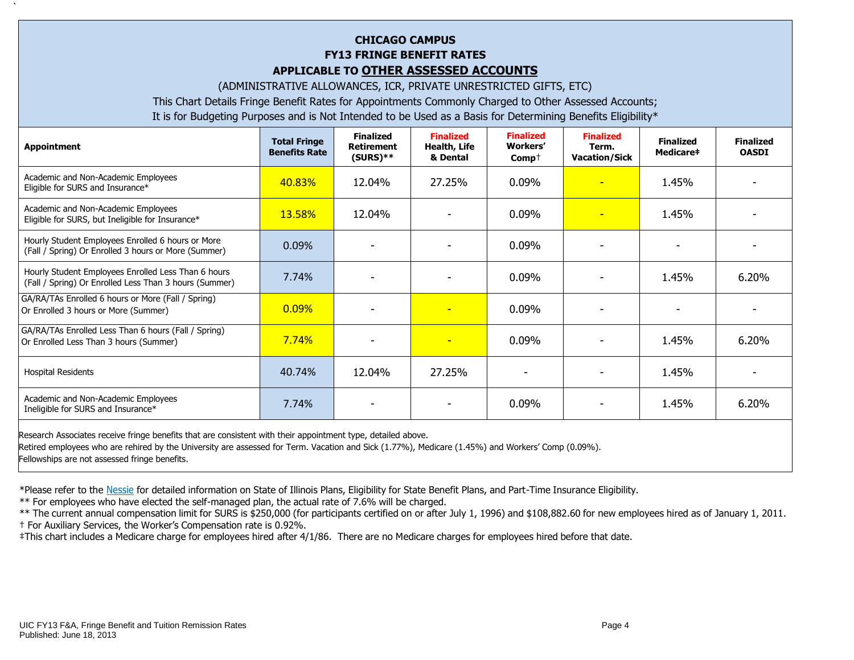# **CHICAGO CAMPUS FY13 FRINGE BENEFIT RATES APPLICABLE TO OTHER ASSESSED ACCOUNTS**

(ADMINISTRATIVE ALLOWANCES, ICR, PRIVATE UNRESTRICTED GIFTS, ETC)

This Chart Details Fringe Benefit Rates for Appointments Commonly Charged to Other Assessed Accounts;

It is for Budgeting Purposes and is Not Intended to be Used as a Basis for Determining Benefits Eligibility\*

| <b>Appointment</b>                                                                                            | <b>Total Fringe</b><br><b>Benefits Rate</b> | <b>Finalized</b><br><b>Retirement</b><br>$(SURS)$ ** | <b>Finalized</b><br>Health, Life<br>& Dental | <b>Finalized</b><br><b>Workers'</b><br>$Comp+$ | <b>Finalized</b><br>Term.<br><b>Vacation/Sick</b> | <b>Finalized</b><br>Medicare# | <b>Finalized</b><br><b>OASDI</b> |
|---------------------------------------------------------------------------------------------------------------|---------------------------------------------|------------------------------------------------------|----------------------------------------------|------------------------------------------------|---------------------------------------------------|-------------------------------|----------------------------------|
| Academic and Non-Academic Employees<br>Eligible for SURS and Insurance*                                       | 40.83%                                      | 12.04%                                               | 27.25%                                       | $0.09\%$                                       | <b>-</b>                                          | 1.45%                         |                                  |
| Academic and Non-Academic Employees<br>Eligible for SURS, but Ineligible for Insurance*                       | 13.58%                                      | 12.04%                                               |                                              | $0.09\%$                                       | $\overline{\phantom{a}}$                          | 1.45%                         |                                  |
| Hourly Student Employees Enrolled 6 hours or More<br>(Fall / Spring) Or Enrolled 3 hours or More (Summer)     | 0.09%                                       |                                                      |                                              | $0.09\%$                                       |                                                   |                               |                                  |
| Hourly Student Employees Enrolled Less Than 6 hours<br>(Fall / Spring) Or Enrolled Less Than 3 hours (Summer) | 7.74%                                       |                                                      |                                              | $0.09\%$                                       | $\overline{\phantom{0}}$                          | 1.45%                         | 6.20%                            |
| GA/RA/TAs Enrolled 6 hours or More (Fall / Spring)<br>Or Enrolled 3 hours or More (Summer)                    | 0.09%                                       |                                                      |                                              | $0.09\%$                                       | $\overline{\phantom{0}}$                          |                               |                                  |
| GA/RA/TAs Enrolled Less Than 6 hours (Fall / Spring)<br>Or Enrolled Less Than 3 hours (Summer)                | 7.74%                                       | $\overline{\phantom{0}}$                             |                                              | 0.09%                                          |                                                   | 1.45%                         | 6.20%                            |
| <b>Hospital Residents</b>                                                                                     | 40.74%                                      | 12.04%                                               | 27.25%                                       |                                                |                                                   | 1.45%                         |                                  |
| Academic and Non-Academic Employees<br>Ineligible for SURS and Insurance*                                     | 7.74%                                       |                                                      |                                              | $0.09\%$                                       |                                                   | 1.45%                         | 6.20%                            |
|                                                                                                               |                                             |                                                      |                                              |                                                |                                                   |                               |                                  |

Research Associates receive fringe benefits that are consistent with their appointment type, detailed above. Retired employees who are rehired by the University are assessed for Term. Vacation and Sick (1.77%), Medicare (1.45%) and Workers' Comp (0.09%). Fellowships are not assessed fringe benefits.

\*Please refer to the [Nessie](http://nessie.uihr.uillinois.edu/cf/benefits/) for detailed information on State of Illinois Plans, Eligibility for State Benefit Plans, and Part-Time Insurance Eligibility.

\*\* For employees who have elected the self-managed plan, the actual rate of 7.6% will be charged.

\*\* The current annual compensation limit for SURS is \$250,000 (for participants certified on or after July 1, 1996) and \$108,882.60 for new employees hired as of January 1, 2011. † For Auxiliary Services, the Worker's Compensation rate is 0.92%.

‡This chart includes a Medicare charge for employees hired after 4/1/86. There are no Medicare charges for employees hired before that date.

`